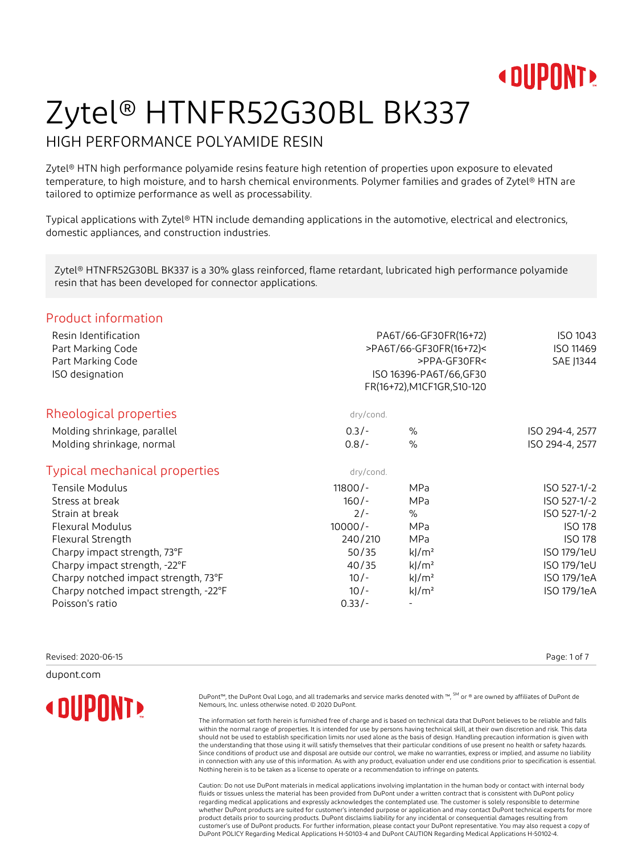

#### HIGH PERFORMANCE POLYAMIDE RESIN

Zytel® HTN high performance polyamide resins feature high retention of properties upon exposure to elevated temperature, to high moisture, and to harsh chemical environments. Polymer families and grades of Zytel® HTN are tailored to optimize performance as well as processability.

Typical applications with Zytel® HTN include demanding applications in the automotive, electrical and electronics, domestic appliances, and construction industries.

Zytel® HTNFR52G30BL BK337 is a 30% glass reinforced, flame retardant, lubricated high performance polyamide resin that has been developed for connector applications.

#### Product information

|           | ISO 1043<br>ISO 11469<br>SAE J1344 |                                                                                                                            |
|-----------|------------------------------------|----------------------------------------------------------------------------------------------------------------------------|
| dry/cond. |                                    |                                                                                                                            |
| $0.3/-$   | $\%$                               | ISO 294-4, 2577                                                                                                            |
| $0.8/-$   | $\%$                               | ISO 294-4, 2577                                                                                                            |
| dry/cond. |                                    |                                                                                                                            |
| $11800/-$ | <b>MPa</b>                         | ISO 527-1/-2                                                                                                               |
| $160/-$   | <b>MPa</b>                         | ISO 527-1/-2                                                                                                               |
| $2/-$     | $\%$                               | ISO 527-1/-2                                                                                                               |
| $10000/-$ | <b>MPa</b>                         | <b>ISO 178</b>                                                                                                             |
| 240/210   | <b>MPa</b>                         | <b>ISO 178</b>                                                                                                             |
| 50/35     | $k$ /m <sup>2</sup>                | ISO 179/1eU                                                                                                                |
| 40/35     | $k$ /m <sup>2</sup>                | ISO 179/1eU                                                                                                                |
| $10/-$    | $k$ /m <sup>2</sup>                | ISO 179/1eA                                                                                                                |
| $10/-$    | $k$ /m <sup>2</sup>                | ISO 179/1eA                                                                                                                |
| $0.33/-$  |                                    |                                                                                                                            |
|           |                                    | PA6T/66-GF30FR(16+72)<br>>PA6T/66-GF30FR(16+72)<<br>>PPA-GF30FR<<br>ISO 16396-PA6T/66, GF30<br>FR(16+72), M1CF1GR, S10-120 |

Revised: 2020-06-15 Page: 1 of 7

dupont.com

**« DUPONT!** 

DuPont™, the DuPont Oval Logo, and all trademarks and service marks denoted with ™, SM or ® are owned by affiliates of DuPont de Nemours, Inc. unless otherwise noted. © 2020 DuPont.

The information set forth herein is furnished free of charge and is based on technical data that DuPont believes to be reliable and falls within the normal range of properties. It is intended for use by persons having technical skill, at their own discretion and risk. This data should not be used to establish specification limits nor used alone as the basis of design. Handling precaution information is given with the understanding that those using it will satisfy themselves that their particular conditions of use present no health or safety hazards. Since conditions of product use and disposal are outside our control, we make no warranties, express or implied, and assume no liability in connection with any use of this information. As with any product, evaluation under end use conditions prior to specification is essential. Nothing herein is to be taken as a license to operate or a recommendation to infringe on patents.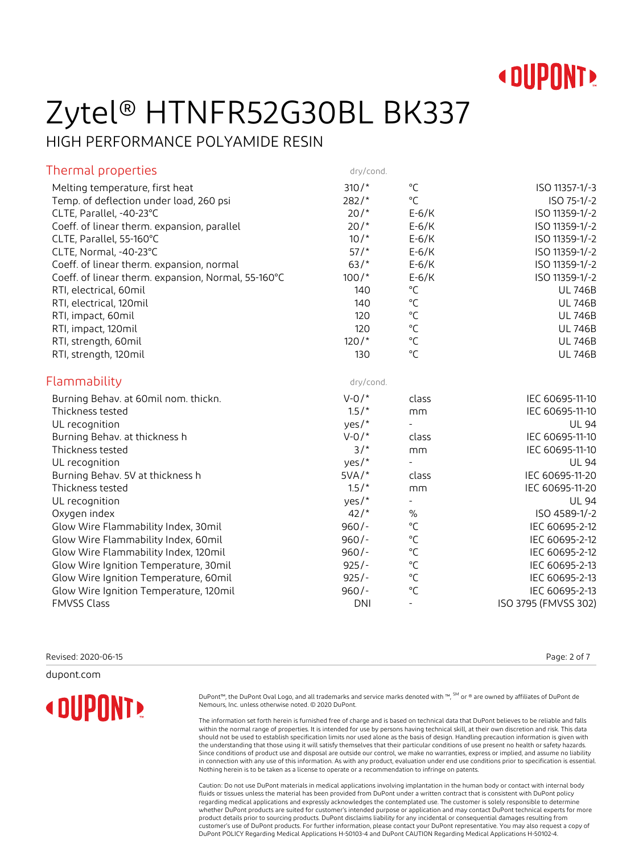

HIGH PERFORMANCE POLYAMIDE RESIN

| dry/cond.  |                                                                                           |                                                                                                                                                                                                |
|------------|-------------------------------------------------------------------------------------------|------------------------------------------------------------------------------------------------------------------------------------------------------------------------------------------------|
| $310/*$    | $^{\circ}$ C                                                                              | ISO 11357-1/-3                                                                                                                                                                                 |
| $282/*$    | $\rm ^{\circ}C$                                                                           | ISO 75-1/-2                                                                                                                                                                                    |
| $20/$ *    | $E-6/K$                                                                                   | ISO 11359-1/-2                                                                                                                                                                                 |
| $20/$ *    | $E-6/K$                                                                                   | ISO 11359-1/-2                                                                                                                                                                                 |
| $10/$ *    | $E-6/K$                                                                                   | ISO 11359-1/-2                                                                                                                                                                                 |
| $57/$ *    | $E-6/K$                                                                                   | ISO 11359-1/-2                                                                                                                                                                                 |
| $63/*$     | $E-6/K$                                                                                   | ISO 11359-1/-2                                                                                                                                                                                 |
| $100/*$    | $E-6/K$                                                                                   | ISO 11359-1/-2                                                                                                                                                                                 |
| 140        |                                                                                           | <b>UL 746B</b>                                                                                                                                                                                 |
| 140        |                                                                                           | <b>UL 746B</b>                                                                                                                                                                                 |
| 120        |                                                                                           | <b>UL 746B</b>                                                                                                                                                                                 |
| 120        |                                                                                           | <b>UL 746B</b>                                                                                                                                                                                 |
|            |                                                                                           | <b>UL 746B</b>                                                                                                                                                                                 |
| 130        |                                                                                           | <b>UL 746B</b>                                                                                                                                                                                 |
| dry/cond.  |                                                                                           |                                                                                                                                                                                                |
| $V - 0/$ * | class                                                                                     | IEC 60695-11-10                                                                                                                                                                                |
| $1.5/$ *   | mm                                                                                        | IEC 60695-11-10                                                                                                                                                                                |
| yes/*      | $\equiv$                                                                                  | <b>UL 94</b>                                                                                                                                                                                   |
| $V - 0/*$  | class                                                                                     | IEC 60695-11-10                                                                                                                                                                                |
| $3/$ *     | mm                                                                                        | IEC 60695-11-10                                                                                                                                                                                |
| yes/*      | $\overline{a}$                                                                            | <b>UL 94</b>                                                                                                                                                                                   |
| $5VA/*$    | class                                                                                     | IEC 60695-11-20                                                                                                                                                                                |
|            | mm                                                                                        | IEC 60695-11-20                                                                                                                                                                                |
| yes/*      | $\blacksquare$                                                                            | <b>UL 94</b>                                                                                                                                                                                   |
| 42/        | $\%$                                                                                      | ISO 4589-1/-2                                                                                                                                                                                  |
|            |                                                                                           | IEC 60695-2-12                                                                                                                                                                                 |
| $960/-$    |                                                                                           | IEC 60695-2-12                                                                                                                                                                                 |
|            |                                                                                           | IEC 60695-2-12                                                                                                                                                                                 |
|            |                                                                                           | IEC 60695-2-13                                                                                                                                                                                 |
|            |                                                                                           | IEC 60695-2-13                                                                                                                                                                                 |
|            |                                                                                           | IEC 60695-2-13                                                                                                                                                                                 |
|            | $\overline{\phantom{a}}$                                                                  | ISO 3795 (FMVSS 302)                                                                                                                                                                           |
|            | $120/$ *<br>$1.5/$ *<br>$960/-$<br>$960/-$<br>$925/-$<br>$925/-$<br>$960/-$<br><b>DNI</b> | $^{\circ}C$<br>$^{\circ}$ C<br>$^{\circ}$ C<br>$^{\circ}$ C<br>$^{\circ}$ C<br>$^{\circ}$ C<br>$^{\circ}$ C<br>$^{\circ}{\sf C}$<br>$^{\circ}C$<br>$^{\circ}$ C<br>$^{\circ}$ C<br>$^{\circ}C$ |

Revised: 2020-06-15 Page: 2 of 7

dupont.com

**« DUPONT!** 

DuPont™, the DuPont Oval Logo, and all trademarks and service marks denoted with ™, SM or ® are owned by affiliates of DuPont de Nemours, Inc. unless otherwise noted. © 2020 DuPont.

The information set forth herein is furnished free of charge and is based on technical data that DuPont believes to be reliable and falls within the normal range of properties. It is intended for use by persons having technical skill, at their own discretion and risk. This data should not be used to establish specification limits nor used alone as the basis of design. Handling precaution information is given with the understanding that those using it will satisfy themselves that their particular conditions of use present no health or safety hazards. Since conditions of product use and disposal are outside our control, we make no warranties, express or implied, and assume no liability in connection with any use of this information. As with any product, evaluation under end use conditions prior to specification is essential. Nothing herein is to be taken as a license to operate or a recommendation to infringe on patents.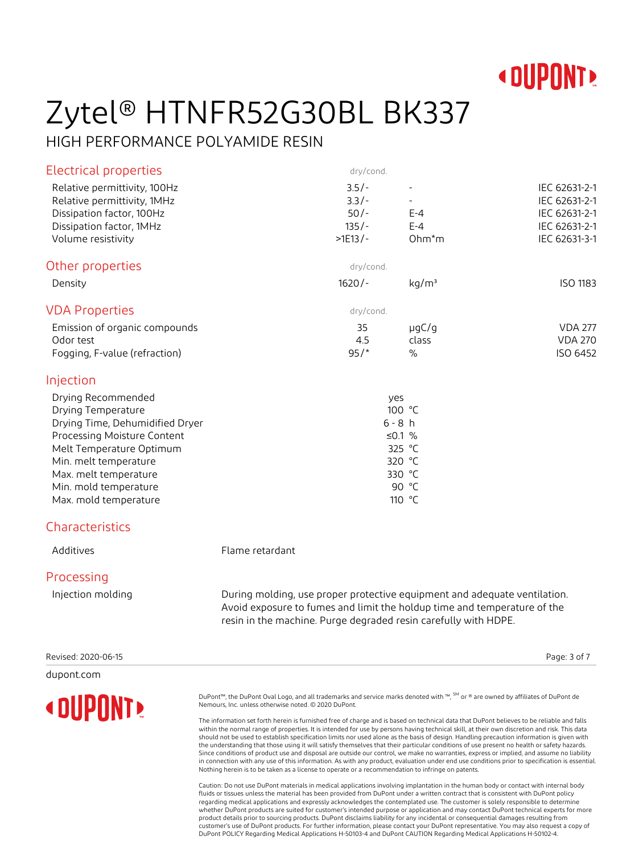

#### HIGH PERFORMANCE POLYAMIDE RESIN

| Electrical properties                                                                                                                                                                                                                      |                                                                                                                                                       | dry/cond.                                            |                                                                                         |                                                                                   |
|--------------------------------------------------------------------------------------------------------------------------------------------------------------------------------------------------------------------------------------------|-------------------------------------------------------------------------------------------------------------------------------------------------------|------------------------------------------------------|-----------------------------------------------------------------------------------------|-----------------------------------------------------------------------------------|
| Relative permittivity, 100Hz<br>Relative permittivity, 1MHz<br>Dissipation factor, 100Hz<br>Dissipation factor, 1MHz<br>Volume resistivity                                                                                                 |                                                                                                                                                       | $3.5/-$<br>$3.3/-$<br>$50/-$<br>$135/-$<br>$>1E13/-$ | $\blacksquare$<br>$E - 4$<br>$E - 4$<br>$Ohm*m$                                         | IEC 62631-2-1<br>IEC 62631-2-1<br>IEC 62631-2-1<br>IEC 62631-2-1<br>IEC 62631-3-1 |
| Other properties                                                                                                                                                                                                                           |                                                                                                                                                       | dry/cond.                                            |                                                                                         |                                                                                   |
| Density                                                                                                                                                                                                                                    |                                                                                                                                                       | $1620/-$                                             | kg/m <sup>3</sup>                                                                       | <b>ISO 1183</b>                                                                   |
| <b>VDA Properties</b>                                                                                                                                                                                                                      |                                                                                                                                                       | dry/cond.                                            |                                                                                         |                                                                                   |
| Emission of organic compounds<br>Odor test<br>Fogging, F-value (refraction)                                                                                                                                                                |                                                                                                                                                       | 35<br>4.5<br>$95/$ *                                 | $\mu$ g $C/g$<br>class<br>$\frac{0}{0}$                                                 | <b>VDA 277</b><br><b>VDA 270</b><br>ISO 6452                                      |
| Injection                                                                                                                                                                                                                                  |                                                                                                                                                       |                                                      |                                                                                         |                                                                                   |
| Drying Recommended<br>Drying Temperature<br>Drying Time, Dehumidified Dryer<br>Processing Moisture Content<br>Melt Temperature Optimum<br>Min. melt temperature<br>Max. melt temperature<br>Min. mold temperature<br>Max. mold temperature |                                                                                                                                                       |                                                      | yes<br>100 °C<br>$6 - 8 h$<br>≤0.1 $%$<br>325 °C<br>320 °C<br>330 °C<br>90 °C<br>110 °C |                                                                                   |
| Characteristics                                                                                                                                                                                                                            |                                                                                                                                                       |                                                      |                                                                                         |                                                                                   |
| Additives                                                                                                                                                                                                                                  | Flame retardant                                                                                                                                       |                                                      |                                                                                         |                                                                                   |
| Processing                                                                                                                                                                                                                                 |                                                                                                                                                       |                                                      |                                                                                         |                                                                                   |
| Injection molding                                                                                                                                                                                                                          | During molding, use proper protective equipment and adequate ventilation.<br>Avoid exposure to fumes and limit the holdup time and temperature of the |                                                      |                                                                                         |                                                                                   |

Revised: 2020-06-15 Page: 3 of 7

dupont.com

**« DUPONT!** 

resin in the machine. Purge degraded resin carefully with HDPE.

DuPont™, the DuPont Oval Logo, and all trademarks and service marks denoted with ™, SM or ® are owned by affiliates of DuPont de Nemours, Inc. unless otherwise noted. © 2020 DuPont.

The information set forth herein is furnished free of charge and is based on technical data that DuPont believes to be reliable and falls within the normal range of properties. It is intended for use by persons having technical skill, at their own discretion and risk. This data should not be used to establish specification limits nor used alone as the basis of design. Handling precaution information is given with the understanding that those using it will satisfy themselves that their particular conditions of use present no health or safety hazards. Since conditions of product use and disposal are outside our control, we make no warranties, express or implied, and assume no liability in connection with any use of this information. As with any product, evaluation under end use conditions prior to specification is essential. Nothing herein is to be taken as a license to operate or a recommendation to infringe on patents.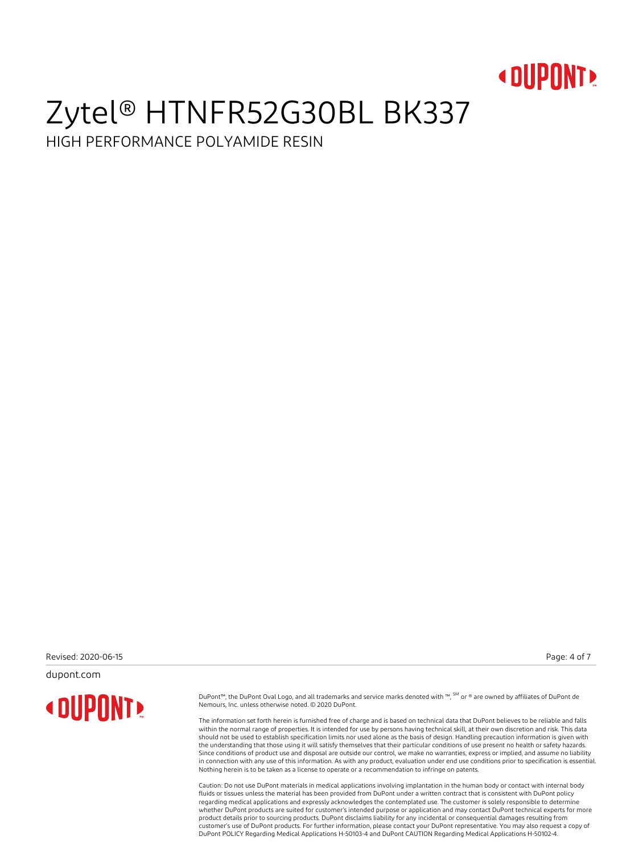

HIGH PERFORMANCE POLYAMIDE RESIN

Revised: 2020-06-15 Page: 4 of 7

dupont.com

**« DUPONT!** 

DuPont™, the DuPont Oval Logo, and all trademarks and service marks denoted with ™, SM or ® are owned by affiliates of DuPont de Nemours, Inc. unless otherwise noted. © 2020 DuPont.

The information set forth herein is furnished free of charge and is based on technical data that DuPont believes to be reliable and falls within the normal range of properties. It is intended for use by persons having technical skill, at their own discretion and risk. This data should not be used to establish specification limits nor used alone as the basis of design. Handling precaution information is given with the understanding that those using it will satisfy themselves that their particular conditions of use present no health or safety hazards. Since conditions of product use and disposal are outside our control, we make no warranties, express or implied, and assume no liability in connection with any use of this information. As with any product, evaluation under end use conditions prior to specification is essential. Nothing herein is to be taken as a license to operate or a recommendation to infringe on patents.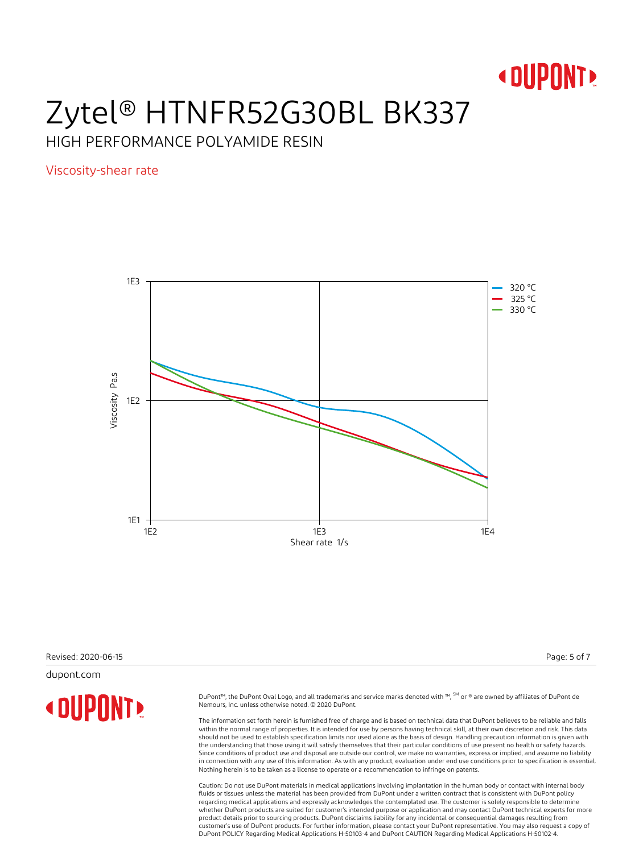

HIGH PERFORMANCE POLYAMIDE RESIN

Viscosity-shear rate



Revised: 2020-06-15 Page: 5 of 7

dupont.com

**« DUPONT!** 

DuPont™, the DuPont Oval Logo, and all trademarks and service marks denoted with ™, SM or ® are owned by affiliates of DuPont de Nemours, Inc. unless otherwise noted. © 2020 DuPont.

The information set forth herein is furnished free of charge and is based on technical data that DuPont believes to be reliable and falls within the normal range of properties. It is intended for use by persons having technical skill, at their own discretion and risk. This data should not be used to establish specification limits nor used alone as the basis of design. Handling precaution information is given with the understanding that those using it will satisfy themselves that their particular conditions of use present no health or safety hazards. Since conditions of product use and disposal are outside our control, we make no warranties, express or implied, and assume no liability in connection with any use of this information. As with any product, evaluation under end use conditions prior to specification is essential. Nothing herein is to be taken as a license to operate or a recommendation to infringe on patents.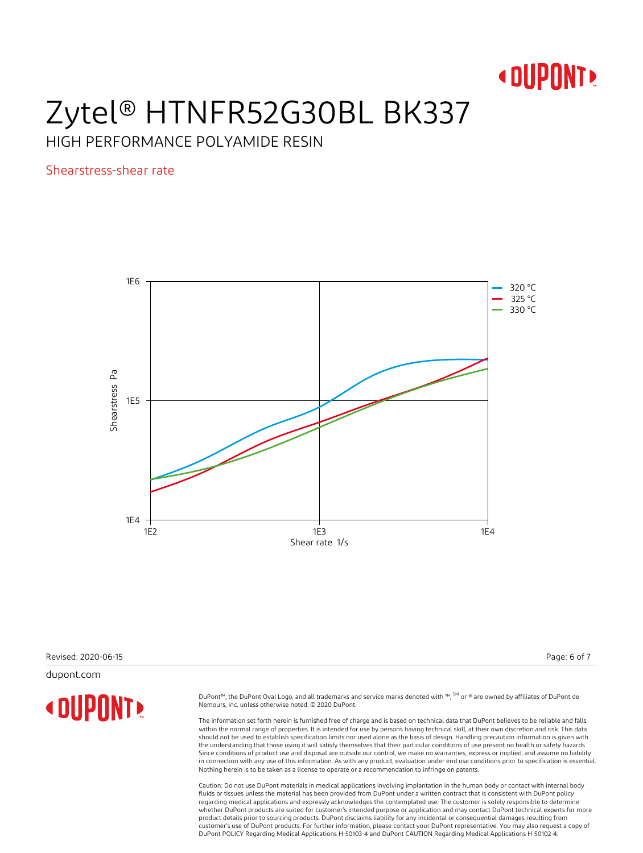

HIGH PERFORMANCE POLYAMIDE RESIN

Shearstress-shear rate



Revised: 2020-06-15 Page: 6 of 7

dupont.com

**« DUPONT!** 

DuPont™, the DuPont Oval Logo, and all trademarks and service marks denoted with ™, SM or ® are owned by affiliates of DuPont de Nemours, Inc. unless otherwise noted. © 2020 DuPont.

The information set forth herein is furnished free of charge and is based on technical data that DuPont believes to be reliable and falls within the normal range of properties. It is intended for use by persons having technical skill, at their own discretion and risk. This data should not be used to establish specification limits nor used alone as the basis of design. Handling precaution information is given with the understanding that those using it will satisfy themselves that their particular conditions of use present no health or safety hazards. Since conditions of product use and disposal are outside our control, we make no warranties, express or implied, and assume no liability in connection with any use of this information. As with any product, evaluation under end use conditions prior to specification is essential. Nothing herein is to be taken as a license to operate or a recommendation to infringe on patents.